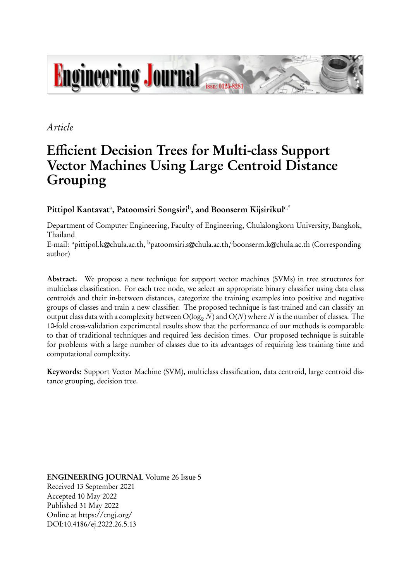

## *Article*

# **Efficient Decision Trees for Multi-class Support Vector Machines Using Large Centroid Distance Grouping**

**Pittipol Kantavat**<sup>a</sup> **, Patoomsiri Songsiri**<sup>b</sup> **, and Boonserm Kijsirikul**c,\*

Department of Computer Engineering, Faculty of Engineering, Chulalongkorn University, Bangkok, Thailand

E-mail: <sup>a</sup>pittipol.k@chula.ac.th, <sup>b</sup>patoomsiri.s@chula.ac.th, <sup>c</sup>boonserm.k@chula.ac.th (Corresponding author)

**Abstract.** We propose a new technique for support vector machines (SVMs) in tree structures for multiclass classification. For each tree node, we select an appropriate binary classifier using data class centroids and their in-between distances, categorize the training examples into positive and negative groups of classes and train a new classifier. The proposed technique is fast-trained and can classify an output class data with a complexity between  $O(\log_2 N)$  and  $O(N)$  where *N* is the number of classes. The 10-fold cross-validation experimental results show that the performance of our methods is comparable to that of traditional techniques and required less decision times. Our proposed technique is suitable for problems with a large number of classes due to its advantages of requiring less training time and computational complexity.

**Keywords:** Support Vector Machine (SVM), multiclass classification, data centroid, large centroid distance grouping, decision tree.

**ENGINEERING JOURNAL** Volume 26 Issue 5 Received 13 September 2021 Accepted 10 May 2022 Published 31 May 2022 Online at https://engj.org/ DOI:10.4186/ej.2022.26.5.13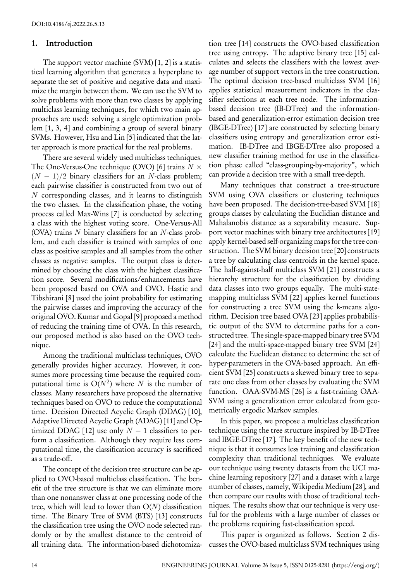### **1. Introduction**

The support vector machine (SVM) [1, 2] is a statistical learning algorithm that generates a hyperplane to separate the set of positive and negative data and maximize the margin between them. We can use the SVM to solve problems with more than two classes by applying multiclass learning techniques, for which two main approaches are used: solving a single optimization problem [1, 3, 4] and combining a group of several binary SVMs. However, Hsu and Lin [5] indicated that the latter approach is more practical for the real problems.

There are several widely used multiclass techniques. The One-Versus-One technique (OVO) [6] trains *N ×* (*N −* 1)*/*2 binary classifiers for an *N*-class problem; each pairwise classifier is constructed from two out of *N* corresponding classes, and it learns to distinguish the two classes. In the classification phase, the voting process called Max-Wins [7] is conducted by selecting a class with the highest voting score. One-Versus-All (OVA) trains *N* binary classifiers for an *N*-class problem, and each classifier is trained with samples of one class as positive samples and all samples from the other classes as negative samples. The output class is determined by choosing the class with the highest classification score. Several modifications/enhancements have been proposed based on OVA and OVO. Hastie and Tibshirani [8] used the joint probability for estimating the pairwise classes and improving the accuracy of the original OVO. Kumar and Gopal [9] proposed a method of reducing the training time of OVA. In this research, our proposed method is also based on the OVO technique.

Among the traditional multiclass techniques, OVO generally provides higher accuracy. However, it consumes more processing time because the required computational time is  $O(N^2)$  where N is the number of classes. Many researchers have proposed the alternative techniques based on OVO to reduce the computational time. Decision Directed Acyclic Graph (DDAG) [10], Adaptive Directed Acyclic Graph (ADAG) [11] and Optimized DDAG [12] use only  $N-1$  classifiers to perform a classification. Although they require less computational time, the classification accuracy is sacrificed as a trade-off.

The concept of the decision tree structure can be applied to OVO-based multiclass classification. The benefit of the tree structure is that we can eliminate more than one nonanswer class at one processing node of the tree, which will lead to lower than O(*N*) classification time. The Binary Tree of SVM (BTS) [13] constructs the classification tree using the OVO node selected randomly or by the smallest distance to the centroid of all training data. The information-based dichotomization tree [14] constructs the OVO-based classification tree using entropy. The adaptive binary tree [15] calculates and selects the classifiers with the lowest average number of support vectors in the tree construction. The optimal decision tree-based multiclass SVM [16] applies statistical measurement indicators in the classifier selections at each tree node. The informationbased decision tree (IB-DTree) and the informationbased and generalization-error estimation decision tree (IBGE-DTree) [17] are constructed by selecting binary classifiers using entropy and generalization error estimation. IB-DTree and IBGE-DTree also proposed a new classifier training method for use in the classification phase called "class-grouping-by-majority", which can provide a decision tree with a small tree-depth.

Many techniques that construct a tree-structure SVM using OVA classifiers or clustering techniques have been proposed. The decision-tree-based SVM [18] groups classes by calculating the Euclidian distance and Mahalanobis distance as a separability measure. Support vector machines with binary tree architectures [19] apply kernel-based self-organizing maps for the tree construction. The SVM binary decision tree [20] constructs a tree by calculating class centroids in the kernel space. The half-against-half multiclass SVM [21] constructs a hierarchy structure for the classification by dividing data classes into two groups equally. The multi-statemapping multiclass SVM [22] applies kernel functions for constructing a tree SVM using the k-means algorithm. Decision tree based OVA [23] applies probabilistic output of the SVM to determine paths for a constructed tree. The single-space-mapped binary tree SVM [24] and the multi-space-mapped binary tree SVM [24] calculate the Euclidean distance to determine the set of hyper-parameters in the OVA-based approach. An efficient SVM [25] constructs a skewed binary tree to separate one class from other classes by evaluating the SVM function. OAA-SVM-MS [26] is a fast-training OAA-SVM using a generalization error calculated from geometrically ergodic Markov samples.

In this paper, we propose a multiclass classification technique using the tree structure inspired by IB-DTree and IBGE-DTree [17]. The key benefit of the new technique is that it consumes less training and classification complexity than traditional techniques. We evaluate our technique using twenty datasets from the UCI machine learning repository [27] and a dataset with a large number of classes, namely, Wikipedia Medium [28], and then compare our results with those of traditional techniques. The results show that our technique is very useful for the problems with a large number of classes or the problems requiring fast-classification speed.

This paper is organized as follows. Section 2 discusses the OVO-based multiclass SVM techniques using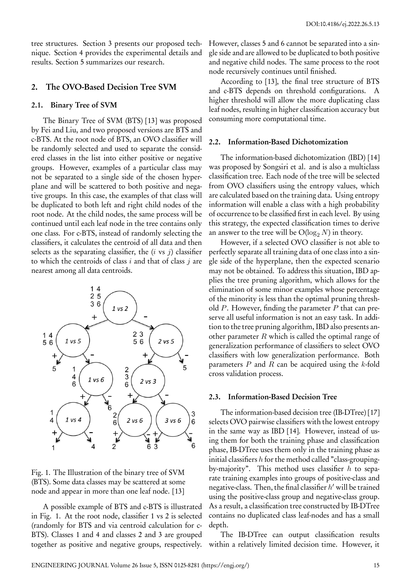tree structures. Section 3 presents our proposed technique. Section 4 provides the experimental details and results. Section 5 summarizes our research.

#### **2. The OVO-Based Decision Tree SVM**

#### **2.1. Binary Tree of SVM**

The Binary Tree of SVM (BTS) [13] was proposed by Fei and Liu, and two proposed versions are BTS and c-BTS. At the root node of BTS, an OVO classifier will be randomly selected and used to separate the considered classes in the list into either positive or negative groups. However, examples of a particular class may not be separated to a single side of the chosen hyperplane and will be scattered to both positive and negative groups. In this case, the examples of that class will be duplicated to both left and right child nodes of the root node. At the child nodes, the same process will be continued until each leaf node in the tree contains only one class. For c-BTS, instead of randomly selecting the classifiers, it calculates the centroid of all data and then selects as the separating classifier, the (*i* vs *j*) classifier to which the centroids of class *i* and that of class *j* are nearest among all data centroids.



Fig. 1. The Illustration of the binary tree of SVM (BTS). Some data classes may be scattered at some node and appear in more than one leaf node. [13]

A possible example of BTS and c-BTS is illustrated in Fig. 1. At the root node, classifier 1 vs 2 is selected (randomly for BTS and via centroid calculation for c-BTS). Classes 1 and 4 and classes 2 and 3 are grouped together as positive and negative groups, respectively.

However, classes 5 and 6 cannot be separated into a single side and are allowed to be duplicated to both positive and negative child nodes. The same process to the root node recursively continues until finished.

According to [13], the final tree structure of BTS and c-BTS depends on threshold configurations. A higher threshold will allow the more duplicating class leaf nodes, resulting in higher classification accuracy but consuming more computational time.

#### **2.2. Information-Based Dichotomization**

The information-based dichotomization (IBD) [14] was proposed by Songsiri et al. and is also a multiclass classification tree. Each node of the tree will be selected from OVO classifiers using the entropy values, which are calculated based on the training data. Using entropy information will enable a class with a high probability of occurrence to be classified first in each level. By using this strategy, the expected classification times to derive an answer to the tree will be  $O(log_2 N)$  in theory.

However, if a selected OVO classifier is not able to perfectly separate all training data of one class into a single side of the hyperplane, then the expected scenario may not be obtained. To address this situation, IBD applies the tree pruning algorithm, which allows for the elimination of some minor examples whose percentage of the minority is less than the optimal pruning threshold *P*. However, finding the parameter *P* that can preserve all useful information is not an easy task. In addition to the tree pruning algorithm, IBD also presents another parameter *R* which is called the optimal range of generalization performance of classifiers to select OVO classifiers with low generalization performance. Both parameters *P* and *R* can be acquired using the *k*-fold cross validation process.

#### **2.3. Information-Based Decision Tree**

The information-based decision tree (IB-DTree) [17] selects OVO pairwise classifiers with the lowest entropy in the same way as IBD [14]. However, instead of using them for both the training phase and classification phase, IB-DTree uses them only in the training phase as initial classifiers *h* for the method called "class-groupingby-majority". This method uses classifier *h* to separate training examples into groups of positive-class and negative-class. Then, the final classifier *h ′* will be trained using the positive-class group and negative-class group. As a result, a classification tree constructed by IB-DTree contains no duplicated class leaf-nodes and has a small depth.

The IB-DTree can output classification results within a relatively limited decision time. However, it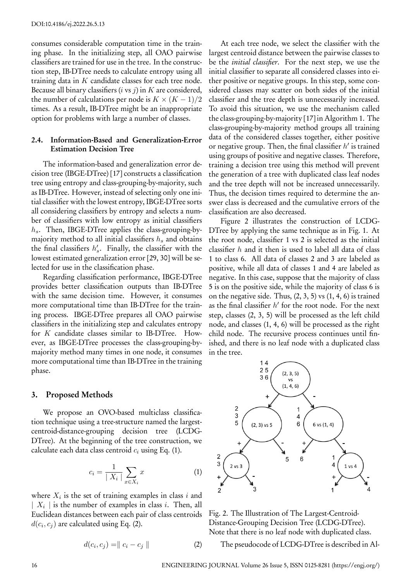consumes considerable computation time in the training phase. In the initializing step, all OAO pairwise classifiers are trained for use in the tree. In the construction step, IB-DTree needs to calculate entropy using all training data in *K* candidate classes for each tree node. Because all binary classifiers (*i* vs *j*) in *K* are considered, the number of calculations per node is  $K \times (K-1)/2$ times. As a result, IB-DTree might be an inappropriate option for problems with large a number of classes.

## **2.4. Information-Based and Generalization-Error Estimation Decision Tree**

The information-based and generalization error decision tree (IBGE-DTree) [17] constructs a classification tree using entropy and class-grouping-by-majority, such as IB-DTree. However, instead of selecting only one initial classifier with the lowest entropy, IBGE-DTree sorts all considering classifiers by entropy and selects a number of classifiers with low entropy as initial classifiers *hs*. Then, IBGE-DTree applies the class-grouping-bymajority method to all initial classifiers *h<sup>s</sup>* and obtains the final classifiers  $h'_s$ . Finally, the classifier with the lowest estimated generalization error [29, 30] will be selected for use in the classification phase.

Regarding classification performance, IBGE-DTree provides better classification outputs than IB-DTree with the same decision time. However, it consumes more computational time than IB-DTree for the training process. IBGE-DTree prepares all OAO pairwise classifiers in the initializing step and calculates entropy for *K* candidate classes similar to IB-DTree. However, as IBGE-DTree processes the class-grouping-bymajority method many times in one node, it consumes more computational time than IB-DTree in the training phase.

#### **3. Proposed Methods**

We propose an OVO-based multiclass classification technique using a tree-structure named the largestcentroid-distance-grouping decision tree (LCDG-DTree). At the beginning of the tree construction, we calculate each data class centroid *c<sup>i</sup>* using Eq. (1).

$$
c_i = \frac{1}{|X_i|} \sum_{x \in X_i} x \tag{1}
$$

where  $X_i$  is the set of training examples in class  $i$  and *| X<sup>i</sup> |* is the number of examples in class *i*. Then, all Euclidean distances between each pair of class centroids  $d(c_i, c_j)$  are calculated using Eq. (2).

$$
d(c_i, c_j) = || c_i - c_j ||
$$
 (2)

At each tree node, we select the classifier with the largest centroid distance between the pairwise classes to be the *initial classifier*. For the next step, we use the initial classifier to separate all considered classes into either positive or negative groups. In this step, some considered classes may scatter on both sides of the initial classifier and the tree depth is unnecessarily increased. To avoid this situation, we use the mechanism called the class-grouping-by-majority [17] in Algorithm 1. The class-grouping-by-majority method groups all training data of the considered classes together, either positive or negative group. Then, the final classifier *h ′* is trained using groups of positive and negative classes. Therefore, training a decision tree using this method will prevent the generation of a tree with duplicated class leaf nodes and the tree depth will not be increased unnecessarily. Thus, the decision times required to determine the answer class is decreased and the cumulative errors of the classification are also decreased.

Figure 2 illustrates the construction of LCDG-DTree by applying the same technique as in Fig. 1. At the root node, classifier 1 vs 2 is selected as the initial classifier *h* and it then is used to label all data of class 1 to class 6. All data of classes 2 and 3 are labeled as positive, while all data of classes 1 and 4 are labeled as negative. In this case, suppose that the majority of class 5 is on the positive side, while the majority of class 6 is on the negative side. Thus,  $(2, 3, 5)$  vs  $(1, 4, 6)$  is trained as the final classifier *h ′* for the root node. For the next step, classes (2, 3, 5) will be processed as the left child node, and classes (1, 4, 6) will be processed as the right child node. The recursive process continues until finished, and there is no leaf node with a duplicated class in the tree.



Fig. 2. The Illustration of The Largest-Centroid-Distance-Grouping Decision Tree (LCDG-DTree). Note that there is no leaf node with duplicated class.

The pseudocode of LCDG-DTree is described in Al-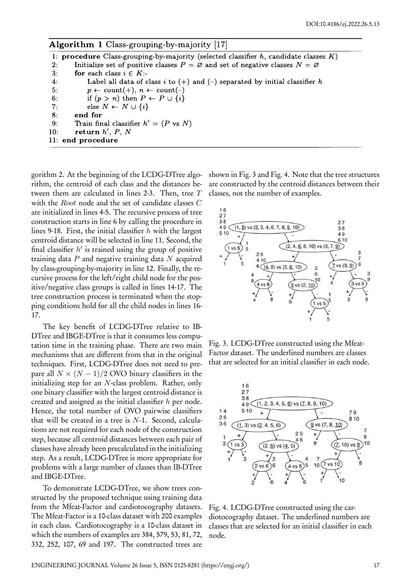| <b>Algorithm 1</b> Class-grouping-by-majority [17]                                             |
|------------------------------------------------------------------------------------------------|
| 1: procedure Class-grouping-by-majority (selected classifier $h$ , candidate classes $K$ )     |
| Initialize set of positive classes $P = \emptyset$ and set of negative classes $N = \emptyset$ |
| for each class $i \in K$ :-<br>3:                                                              |
| Label all data of class i to $(+)$ and $(-)$ separated by initial classifier h                 |
| $p \leftarrow \text{count}(+), n \leftarrow \text{count}(-)$                                   |
| if $(p > n)$ then $P \leftarrow P \cup \{i\}$                                                  |
| else $N \leftarrow N \cup \{i\}$                                                               |
| end for                                                                                        |
| Train final classifier $h' = (P \text{ vs } N)$                                                |
| return $h', P, N$<br>10:                                                                       |
| 11: end procedure                                                                              |
|                                                                                                |

gorithm 2. At the beginning of the LCDG-DTree algorithm, the centroid of each class and the distances between them are calculated in lines 2-3. Then, tree *T* with the *Root* node and the set of candidate classes *C* are initialized in lines 4-5. The recursive process of tree construction starts in line 6 by calling the procedure in lines 9-18. First, the initial classifier *h* with the largest centroid distance will be selected in line 11. Second, the final classifier *h ′* is trained using the group of positive training data *P* and negative training data *N* acquired by class-grouping-by-majority in line 12. Finally, the recursive process for the left/right child node for the positive/negative class groups is called in lines 14-17. The tree construction process is terminated when the stopping conditions hold for all the child nodes in lines 16- 17.

The key benefit of LCDG-DTree relative to IB-DTree and IBGE-DTree is that it consumes less computation time in the training phase. There are two main mechanisms that are different from that in the original techniques. First, LCDG-DTree does not need to prepare all  $N \times (N-1)/2$  OVO binary classifiers in the initializing step for an *N*-class problem. Rather, only one binary classifier with the largest centroid distance is created and assigned as the initial classifier *h* per node. Hence, the total number of OVO pairwise classifiers that will be created in a tree is *N*-1. Second, calculations are not required for each node of the construction step, because all centroid distances between each pair of classes have already been precalculated in the initializing step. As a result, LCDG-DTree is more appropriate for problems with a large number of classes than IB-DTree and IBGE-DTree.

To demonstrate LCDG-DTree, we show trees constructed by the proposed technique using training data from the Mfeat-Factor and cardiotocography datasets. The Mfeat-Factor is a 10-class dataset with 200 examples in each class. Cardiotocography is a 10-class dataset in which the numbers of examples are 384, 579, 53, 81, 72, 332, 252, 107, 69 and 197. The constructed trees are

shown in Fig. 3 and Fig. 4. Note that the tree structures are constructed by the centroid distances between their classes, not the number of examples.



Fig. 3. LCDG-DTree constructed using the Mfeat-Factor dataset. The underlined numbers are classes that are selected for an initial classifier in each node.



Fig. 4. LCDG-DTree constructed using the cardiotocography dataset. The underlined numbers are classes that are selected for an initial classifier in each node.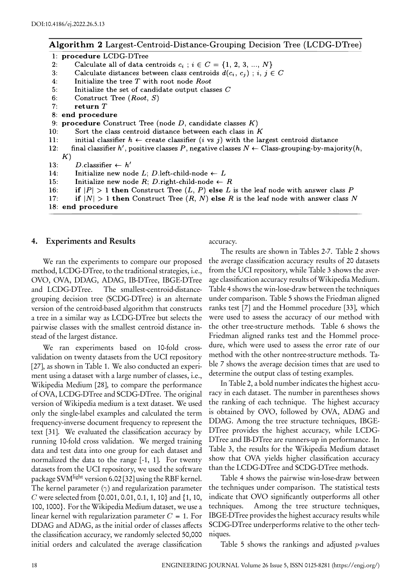## Algorithm 2 Largest-Centroid-Distance-Grouping Decision Tree (LCDG-DTree)

1: procedure LCDG-DTree

- $2:$ Calculate all of data centroids  $c_i$ ;  $i \in C = \{1, 2, 3, ..., N\}$
- $3:$ Calculate distances between class centroids  $d(c_i, c_j)$ ; i,  $j \in C$
- $4:$ Initialize the tree  $T$  with root node Root
- $5:$ Initialize the set of candidate output classes C
- $6:$ Construct Tree  $(Root, S)$
- $7:$ return  $T$
- 8: end procedure
- 9: procedure Construct Tree (node  $D$ , candidate classes  $K$ )
- $10:$ Sort the class centroid distance between each class in  $K$
- $11:$ initial classifier  $h \leftarrow$  create classifier (*i* vs *j*) with the largest centroid distance
- $12:$ final classifier h', positive classes P, negative classes  $N \leftarrow$  Class-grouping-by-majority(h,  $K)$
- $13:$ D.classifier  $\leftarrow h'$
- $14:$ Initialize new node L; D.left-child-node  $\leftarrow L$
- Initialize new node R; D.right-child-node  $\leftarrow$  R  $15:$
- $16:$ if  $|P| > 1$  then Construct Tree  $(L, P)$  else L is the leaf node with answer class P
- $17:$ if  $|N| > 1$  then Construct Tree  $(R, N)$  else R is the leaf node with answer class N
- 18: end procedure

#### **4. Experiments and Results**

We ran the experiments to compare our proposed method, LCDG-DTree, to the traditional strategies, i.e., OVO, OVA, DDAG, ADAG, IB-DTree, IBGE-DTree and LCDG-DTree. The smallest-centroid-distancegrouping decision tree (SCDG-DTree) is an alternate version of the centroid-based algorithm that constructs a tree in a similar way as LCDG-DTree but selects the pairwise classes with the smallest centroid distance instead of the largest distance.

We ran experiments based on 10-fold crossvalidation on twenty datasets from the UCI repository [27], as shown in Table 1. We also conducted an experiment using a dataset with a large number of classes, i.e., Wikipedia Medium [28], to compare the performance of OVA, LCDG-DTree and SCDG-DTree. The original version of Wikipedia medium is a text dataset. We used only the single-label examples and calculated the term frequency-inverse document frequency to represent the text [31]. We evaluated the classification accuracy by running 10-fold cross validation. We merged training data and test data into one group for each dataset and normalized the data to the range [-1, 1]. For twenty datasets from the UCI repository, we used the software package SVM<sup>light</sup> version 6.02<sup>[32]</sup> using the RBF kernel. The kernel parameter (*γ*) and regularization parameter *C* were selected from {0.001, 0.01, 0.1, 1, 10} and {1, 10, 100, 1000}. For the Wikipedia Medium dataset, we use a linear kernel with regularization parameter  $C = 1$ . For DDAG and ADAG, as the initial order of classes affects the classification accuracy, we randomly selected 50,000 initial orders and calculated the average classification

accuracy.

The results are shown in Tables 2-7. Table 2 shows the average classification accuracy results of 20 datasets from the UCI repository, while Table 3 shows the average classification accuracy results of Wikipedia Medium. Table 4 shows the win-lose-draw between the techniques under comparison. Table 5 shows the Friedman aligned ranks test [7] and the Hommel procedure [33], which were used to assess the accuracy of our method with the other tree-structure methods. Table 6 shows the Friedman aligned ranks test and the Hommel procedure, which were used to assess the error rate of our method with the other nontree-structure methods. Table 7 shows the average decision times that are used to determine the output class of testing examples.

In Table 2, a bold number indicates the highest accuracy in each dataset. The number in parentheses shows the ranking of each technique. The highest accuracy is obtained by OVO, followed by OVA, ADAG and DDAG. Among the tree structure techniques, IBGE-DTree provides the highest accuracy, while LCDG-DTree and IB-DTree are runners-up in performance. In Table 3, the results for the Wikipedia Medium dataset show that OVA yields higher classification accuracy than the LCDG-DTree and SCDG-DTree methods.

Table 4 shows the pairwise win-lose-draw between the techniques under comparison. The statistical tests indicate that OVO significantly outperforms all other techniques. Among the tree structure techniques, IBGE-DTree provides the highest accuracy results while SCDG-DTree underperforms relative to the other techniques.

Table 5 shows the rankings and adjusted *p*-values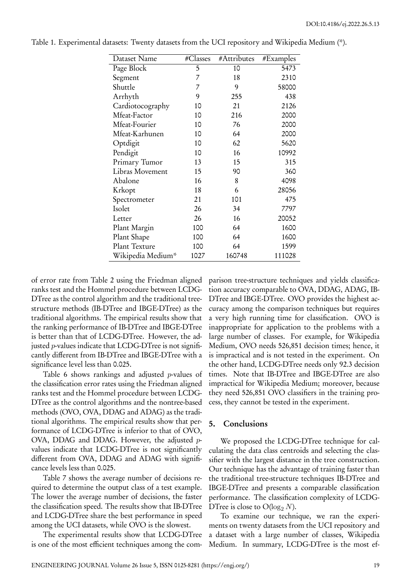| Dataset Name      | #Classes | #Attributes | #Examples |
|-------------------|----------|-------------|-----------|
| Page Block        | 5        | 10          | 5473      |
| Segment           | 7        | 18          | 2310      |
| Shuttle           | 7        | 9           | 58000     |
| Arrhyth           | 9        | 255         | 438       |
| Cardiotocography  | 10       | 21          | 2126      |
| Mfeat-Factor      | 10       | 216         | 2000      |
| Mfeat-Fourier     | 10       | 76          | 2000      |
| Mfeat-Karhunen    | 10       | 64          | 2000      |
| Optdigit          | 10       | 62          | 5620      |
| Pendigit          | 10       | 16          | 10992     |
| Primary Tumor     | 13       | 15          | 315       |
| Libras Movement   | 15       | 90          | 360       |
| Abalone           | 16       | 8           | 4098      |
| Krkopt            | 18       | 6           | 28056     |
| Spectrometer      | 21       | 101         | 475       |
| Isolet            | 26       | 34          | 7797      |
| Letter            | 26       | 16          | 20052     |
| Plant Margin      | 100      | 64          | 1600      |
| Plant Shape       | 100      | 64          | 1600      |
| Plant Texture     | 100      | 64          | 1599      |
| Wikipedia Medium* | 1027     | 160748      | 111028    |

Table 1. Experimental datasets: Twenty datasets from the UCI repository and Wikipedia Medium (\*).

of error rate from Table 2 using the Friedman aligned ranks test and the Hommel procedure between LCDG-DTree as the control algorithm and the traditional treestructure methods (IB-DTree and IBGE-DTree) as the traditional algorithms. The empirical results show that the ranking performance of IB-DTree and IBGE-DTree is better than that of LCDG-DTree. However, the adjusted *p*-values indicate that LCDG-DTree is not significantly different from IB-DTree and IBGE-DTree with a significance level less than 0.025.

Table 6 shows rankings and adjusted *p*-values of the classification error rates using the Friedman aligned ranks test and the Hommel procedure between LCDG-DTree as the control algorithms and the nontree-based methods (OVO, OVA, DDAG and ADAG) as the traditional algorithms. The empirical results show that performance of LCDG-DTree is inferior to that of OVO, OVA, DDAG and DDAG. However, the adjusted *p*values indicate that LCDG-DTree is not significantly different from OVA, DDAG and ADAG with significance levels less than 0.025.

Table 7 shows the average number of decisions required to determine the output class of a test example. The lower the average number of decisions, the faster the classification speed. The results show that IB-DTree and LCDG-DTree share the best performance in speed among the UCI datasets, while OVO is the slowest.

The experimental results show that LCDG-DTree is one of the most efficient techniques among the comparison tree-structure techniques and yields classification accuracy comparable to OVA, DDAG, ADAG, IB-DTree and IBGE-DTree. OVO provides the highest accuracy among the comparison techniques but requires a very high running time for classification. OVO is inappropriate for application to the problems with a large number of classes. For example, for Wikipedia Medium, OVO needs 526,851 decision times; hence, it is impractical and is not tested in the experiment. On the other hand, LCDG-DTree needs only 92.3 decision times. Note that IB-DTree and IBGE-DTree are also impractical for Wikipedia Medium; moreover, because they need 526,851 OVO classifiers in the training process, they cannot be tested in the experiment.

## **5. Conclusions**

We proposed the LCDG-DTree technique for calculating the data class centroids and selecting the classifier with the largest distance in the tree construction. Our technique has the advantage of training faster than the traditional tree-structure techniques IB-DTree and IBGE-DTree and presents a comparable classification performance. The classification complexity of LCDG-DTree is close to  $O(\log_2 N)$ .

To examine our technique, we ran the experiments on twenty datasets from the UCI repository and a dataset with a large number of classes, Wikipedia Medium. In summary, LCDG-DTree is the most ef-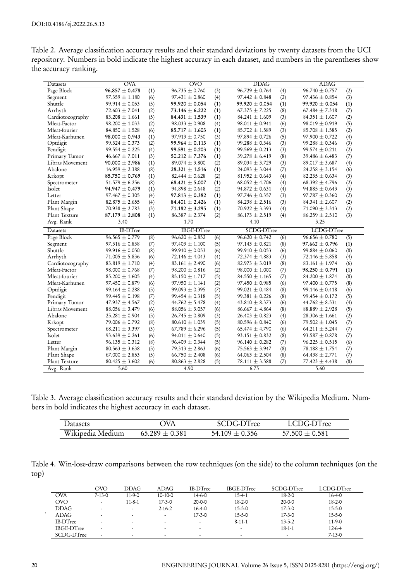| Table 2. Average classification accuracy results and their standard deviations by twenty datasets from the UCI |  |  |
|----------------------------------------------------------------------------------------------------------------|--|--|
| repository. Numbers in bold indicate the highest accuracy in each dataset, and numbers in the parentheses show |  |  |
| the accuracy ranking.                                                                                          |  |  |

| Datasets                         | <b>OVA</b>                               |            | $\overline{\text{OVO}}$ |                  | <b>DDAG</b>        |            | <b>ADAG</b>        |                  |
|----------------------------------|------------------------------------------|------------|-------------------------|------------------|--------------------|------------|--------------------|------------------|
| Page Block                       | $96.857 \pm 0.478$                       | (1)        | $96.735 \pm 0.760$      | $\overline{(3)}$ | $96.729 \pm 0.764$ | (4)        | $96.740 \pm 0.757$ | (2)              |
| Segment                          | $97.359 \pm 1.180$                       | (6)        | $97.431 \pm 0.860$      | (4)              | $97.442 \pm 0.848$ | (2)        | $97.436 \pm 0.854$ | (3)              |
| Shuttle                          | $99.914 \pm 0.053$                       | (5)        | $99.920 \pm 0.054$      | (1)              | $99.920 \pm 0.054$ | (1)        | $99.920 \pm 0.054$ | (1)              |
| Arrhyth                          | $72.603 \pm 7.041$                       | (2)        | 73.146 $\pm$ 6.222      | (1)              | $67.375 \pm 7.225$ | (8)        | $67.484 \pm 7.318$ | (7)              |
| Cardiotocography                 | $83.208 \pm 1.661$                       | (5)        | $84.431 \pm 1.539$      | (1)              | $84.241 \pm 1.609$ | (3)        | $84.351 \pm 1.607$ | (2)              |
| Mfeat-Factor                     | $98.200 \pm 1.033$                       | (2)        | $98.033 \pm 0.908$      | (4)              | $98.011 \pm 0.941$ | (6)        | $98.019 \pm 0.919$ | (5)              |
| Mfeat-fourier                    | 84.850 $\pm$ 1.528                       | (6)        | $85.717 \pm 1.603$      | (1)              | $85.702 \pm 1.589$ | (3)        | $85.708 \pm 1.585$ | (2)              |
| Mfeat-Karhunen                   | $98.000 \pm 0.943$                       | (1)        | $97.913 \pm 0.750$      | (3)              | $97.894 \pm 0.726$ | (5)        | $97.900 \pm 0.722$ | (4)              |
| Optdigit                         | $99.324 \pm 0.373$                       | (2)        | $99.964 \pm 0.113$      | (1)              | $99.288 \pm 0.346$ | (3)        | $99.288 \pm 0.346$ | (3)              |
| Pendigit                         | $99.554 \pm 0.225$                       | (4)        | $99.591 \pm 0.203$      | (1)              | $99.569 \pm 0.213$ | (3)        | $99.574 \pm 0.211$ | (2)              |
| Primary Tumor                    | $46.667 \pm 7.011$                       | (3)        | $50.212 \pm 7.376$      | (1)              | $39.278 \pm 6.419$ | (8)        | $39.486 \pm 6.483$ | (7)              |
| Libras Movement                  | $90.000 \pm 2.986$                       | (1)        | 89.074 $\pm$ 3.800      | (2)              | $89.034 \pm 3.729$ | (3)        | $89.017 \pm 3.687$ | (4)              |
| Abalone                          | $16.959 \pm 2.388$                       | (8)        | $28.321 \pm 1.516$      | (1)              | 24.093 $\pm$ 3.044 | (7)        | $24.258 \pm 3.154$ | (6)              |
| Krkopt                           | $85.750 \pm 0.769$                       | (1)        | $82.444 \pm 0.628$      | (2)              | $81.952 \pm 0.643$ | (4)        | $82.235 \pm 0.634$ | (3)              |
| Spectrometer                     | $51.579 \pm 6.256$                       | (8)        | $68.421 \pm 5.007$      | (1)              | $68.052 \pm 4.706$ | (4)        | $68.392 \pm 4.796$ | (2)              |
| Isolet                           | $94.947 \pm 0.479$                       | (1)        | $94.898 \pm 0.648$      | (2)              | $94.872 \pm 0.631$ | (4)        | $94.885 \pm 0.643$ | (3)              |
| Letter                           | $97.467 \pm 0.305$                       | (4)        | $97.813 \pm 0.382$      | (1)              | $97.746 \pm 0.357$ | (3)        | $97.787 \pm 0.360$ | (2)              |
| Plant Margin                     | $82.875 \pm 2.655$                       | (4)        | 84.401 $\pm$ 2.426      | (1)              | $84.238 \pm 2.516$ | (3)        | $84.341 \pm 2.607$ | (2)              |
| Plant Shape                      | 70.938 $\pm$ 2.783                       | (3)        | $71.182 \pm 3.295$      | (1)              | $70.922 \pm 3.393$ | (4)        | 71.090 $\pm$ 3.313 | (2)              |
| Plant Texture                    | $87.179 \pm 2.808$                       | (1)        | $86.387 \pm 2.374$      | (2)              | $86.173 \pm 2.519$ | (4)        | $86.259 \pm 2.510$ | (3)              |
| Avg. Rank                        | 3.40                                     |            | 1.70                    |                  | 4.10               |            | 3.25               |                  |
|                                  |                                          |            |                         |                  |                    |            |                    |                  |
| Datasets                         | <b>IB-DTree</b>                          |            | <b>IBGE-DTree</b>       |                  | SCDG-DTree         |            | LCDG-DTree         |                  |
|                                  |                                          | (8)        | $96.620 \pm 0.852$      | (6)              | $96.620 \pm 0.742$ | (6)        | $96.656 \pm 0.780$ |                  |
| Page Block<br>Segment            | $96.565 \pm 0.779$<br>$97.316 \pm 0.838$ |            | $97.403 \pm 1.100$      |                  | $97.143 \pm 0.821$ |            | $97.662 \pm 0.796$ | $\overline{(5)}$ |
| Shuttle                          | $99.916 \pm 0.050$                       | (7)<br>(8) | $99.910 \pm 0.053$      | (5)<br>(6)       | $99.910 \pm 0.053$ | (8)        | $99.884 \pm 0.060$ | (1)              |
| Arrhyth                          | $71.005 \pm 5.836$                       | (6)        | 72.146 $\pm$ 4.043      |                  | $72.374 \pm 4.883$ | (6)        | 72.146 $\pm$ 5.858 | (8)              |
|                                  | $83.819 \pm 1.710$                       |            | $83.161 \pm 2.490$      | (4)<br>(6)       | $82.973 \pm 3.019$ | (3)        | $83.161 \pm 1.974$ | (4)              |
| Cardiotocography<br>Mfeat-Factor | $98.000 \pm 0.768$                       | (4)<br>(7) | $98.200 \pm 0.816$      |                  | $98.000 \pm 1.000$ | (8)        | $98.250 \pm 0.791$ | (6)<br>(1)       |
| Mfeat-fourier                    | $85.200 \pm 1.605$                       | (4)        | $85.150 \pm 1.717$      | (2)<br>(5)       | $84.550 \pm 1.165$ | (7)<br>(7) | $84.200 \pm 1.874$ | (8)              |
| Mfeat-Karhunen                   | $97.450 \pm 0.879$                       | (6)        | $97.950 \pm 1.141$      |                  | $97.450 \pm 0.985$ | (6)        | $97.400 \pm 0.775$ | (8)              |
| Optdigit                         | $99.164 \pm 0.288$                       | (5)        | $99.093 \pm 0.395$      | (2)<br>(7)       | $99.021 \pm 0.484$ | (8)        | $99.146 \pm 0.418$ | (6)              |
| Pendigit                         | $99.445 \pm 0.198$                       |            | $99.454 \pm 0.318$      | (5)              | $99.381 \pm 0.226$ | (8)        | $99.454 \pm 0.172$ |                  |
| Primary Tumor                    | $47.937 \pm 4.567$                       | (7)<br>(2) | $44.762 \pm 5.478$      | (4)              | $43.810 \pm 8.373$ | (6)        | $44.762 \pm 8.531$ | (5)<br>(4)       |
| Libras Movement                  | $88.056 \pm 3.479$                       | (6)        | $88.056 \pm 3.057$      | (6)              | $86.667 \pm 4.864$ | (8)        | $88.889 \pm 2.928$ |                  |
| Abalone                          | $25.281 \pm 0.904$                       | (5)        | $26.745 \pm 0.809$      | (3)              | $26.403 \pm 0.823$ | (4)        | $28.306 \pm 1.661$ | (5)              |
| Krkopt                           | 79.006 $\pm$ 0.792                       | (8)        | $80.610 \pm 1.039$      |                  | $80.596 \pm 0.840$ | (6)        | $79.502 \pm 1.045$ | (2)              |
| Spectrometer                     | $68.211 \pm 3.397$                       | (3)        | $67.789 \pm 6.296$      | (5)<br>(5)       | 65.474 $\pm$ 4.790 | (6)        | 64.211 $\pm$ 5.244 | (7)              |
| Isolet                           | $93.639 \pm 0.261$                       | (6)        | $94.011 \pm 0.640$      | (5)              | $93.151 \pm 0.832$ | (8)        | $93.587 \pm 0.878$ | (7)<br>(7)       |
| Letter                           | $96.135 \pm 0.312$                       | (8)        | $96.409 \pm 0.344$      | (5)              | $96.140 \pm 0.282$ | (7)        | $96.225 \pm 0.515$ | (6)              |
| Plant Margin                     | $80.563 \pm 3.638$                       | (5)        | 79.313 $\pm$ 2.863      | (6)              | $75.563 \pm 3.947$ | (8)        | $78.188 \pm 1.754$ |                  |
| Plant Shape                      | $67.000 \pm 2.853$                       | (5)        | $66.750 \pm 2.408$      | (6)              | $64.063 \pm 2.504$ | (8)        | $64.438 \pm 2.771$ | (7)<br>(7)       |
| Plant Texture                    | $80.425 \pm 3.602$                       | (6)        | $80.863 \pm 2.828$      | (5)              | $78.111 \pm 3.588$ | (7)        | 77.423 $\pm$ 4.438 | (8)              |

Table 3. Average classification accuracy results and their standard deviation by the Wikipedia Medium. Numbers in bold indicates the highest accuracy in each dataset.

| Datasets         | ЭVА                | SCDG-DTree       | LCDG-DTree       |  |
|------------------|--------------------|------------------|------------------|--|
| Wikipedia Medium | $65.289 \pm 0.381$ | $54.109 + 0.356$ | $57.500 + 0.581$ |  |

Table 4. Win-lose-draw comparisons between the row techniques (on the side) to the column techniques (on the top)

|   |                   | OVO                      | <b>DDAG</b>              | ADAG         | <b>IB-DTree</b> | <b>IBGE-DTree</b> | SCDG-DTree   | LCDG-DTree   |
|---|-------------------|--------------------------|--------------------------|--------------|-----------------|-------------------|--------------|--------------|
|   | OVA               | $7 - 13 - 0$             | $11 - 9 - 0$             | 10-10-0      | 14-6-0          | $15 - 4 - 1$      | $18 - 2 - 0$ | $16 - 4 - 0$ |
|   | OVO               |                          | $11 - 8 - 1$             | $17 - 3 - 0$ | $20 - 0 - 0$    | $18 - 2 - 0$      | $20 - 0 - 0$ | $18 - 2 - 0$ |
|   | DDAG              |                          | $\overline{\phantom{a}}$ | $2 - 16 - 2$ | $16 - 4 - 0$    | $15 - 5 - 0$      | $17 - 3 - 0$ | $15 - 5 - 0$ |
| ٠ | ADAG              | $\overline{\phantom{a}}$ | ۰                        | ۰            | $17 - 3 - 0$    | $15 - 5 - 0$      | $17 - 3 - 0$ | $15 - 5 - 0$ |
|   | IB-DTree          | $\overline{\phantom{a}}$ | ٠                        | ٠            | ٠               | $8 - 11 - 1$      | $13 - 5 - 2$ | $11-9-0$     |
|   | <b>IBGE-DTree</b> |                          | ۰                        |              |                 |                   | $18 - 1 - 1$ | $12 - 6 - 4$ |
|   | SCDG-DTree        |                          | ۰                        |              |                 |                   |              | $7 - 13 - 0$ |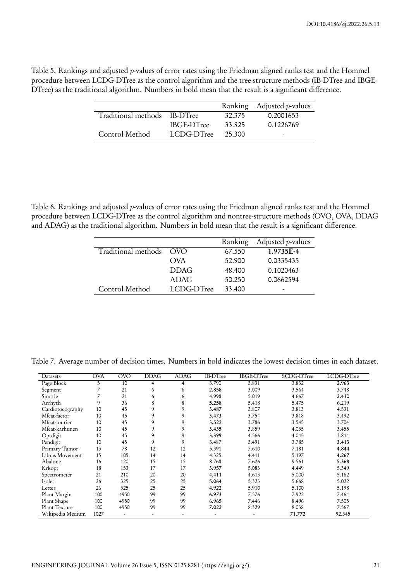Table 5. Rankings and adjusted *p*-values of error rates using the Friedman aligned ranks test and the Hommel procedure between LCDG-DTree as the control algorithm and the tree-structure methods (IB-DTree and IBGE-DTree) as the traditional algorithm. Numbers in bold mean that the result is a significant difference.

|                              |                   |        | Ranking Adjusted <i>p</i> -values |
|------------------------------|-------------------|--------|-----------------------------------|
| Traditional methods IB-DTree |                   | 32.375 | 0.2001653                         |
|                              | <b>IBGE-DTree</b> | 33.825 | 0.1226769                         |
| Control Method               | LCDG-DTree        | 25.300 | -                                 |

Table 6. Rankings and adjusted *p*-values of error rates using the Friedman aligned ranks test and the Hommel procedure between LCDG-DTree as the control algorithm and nontree-structure methods (OVO, OVA, DDAG and ADAG) as the traditional algorithm. Numbers in bold mean that the result is a significant difference.

|                         |             | Ranking | Adjusted $p$ -values     |
|-------------------------|-------------|---------|--------------------------|
| Traditional methods OVO |             | 67.550  | 1.9735E-4                |
|                         | <b>OVA</b>  | 52,900  | 0.0335435                |
|                         | <b>DDAG</b> | 48,400  | 0.1020463                |
|                         | ADAG        | 50.250  | 0.0662594                |
| Control Method          | LCDG-DTree  | 33,400  | $\overline{\phantom{0}}$ |

Table 7. Average number of decision times. Numbers in bold indicates the lowest decision times in each dataset.

| Datasets         | <b>OVA</b> | OVO  | DDAG | ADAG           | <b>IB-DTree</b> | <b>IBGE-DTree</b> | SCDG-DTree | LCDG-DTree |
|------------------|------------|------|------|----------------|-----------------|-------------------|------------|------------|
| Page Block       | 5          | 10   | 4    | $\overline{4}$ | 3.790           | 3.831             | 3.832      | 2.963      |
| Segment          |            | 21   | 6    | 6              | 2.858           | 3.009             | 3.564      | 3.748      |
| Shuttle          |            | 21   | 6    | 6              | 4.998           | 5.019             | 4.667      | 2.430      |
| Arrhyth          | 9          | 36   | 8    | 8              | 5.258           | 5.418             | 5.475      | 6.219      |
| Cardiotocography | 10         | 45   | 9    | 9              | 3.487           | 3.807             | 3.813      | 4.531      |
| Mfeat-factor     | 10         | 45   | 9    | 9              | 3.473           | 3.754             | 3.818      | 3.492      |
| Mfeat-fourier    | 10         | 45   | 9    | 9              | 3.522           | 3.786             | 3.545      | 3.704      |
| Mfeat-karhunen   | 10         | 45   | 9    | 9              | 3.435           | 3.859             | 4.035      | 3.455      |
| Optdigit         | 10         | 45   | 9    | 9              | 3.399           | 4.566             | 4.045      | 3.814      |
| Pendigit         | 10         | 45   | 9    | 9              | 3.487           | 3.491             | 3.785      | 3.413      |
| Primary Tumor    | 13         | 78   | 12   | 12             | 5.391           | 7.610             | 7.181      | 4.844      |
| Libras Movement  | 15         | 105  | 14   | 14             | 4.325           | 4.411             | 5.197      | 4.267      |
| Abalone          | 16         | 120  | 15   | 15             | 8.768           | 7.626             | 9.561      | 5.368      |
| Krkopt           | 18         | 153  | 17   | 17             | 3.957           | 5.083             | 4.449      | 5.349      |
| Spectrometer     | 21         | 210  | 20   | 20             | 4.411           | 4.613             | 5.000      | 5.162      |
| Isolet           | 26         | 325  | 25   | 25             | 5.064           | 5.323             | 5.668      | 5.022      |
| Letter           | 26         | 325  | 25   | 25             | 4.922           | 5.910             | 5.100      | 5.198      |
| Plant Margin     | 100        | 4950 | 99   | 99             | 6.973           | 7.576             | 7.922      | 7.464      |
| Plant Shape      | 100        | 4950 | 99   | 99             | 6.965           | 7.446             | 8.496      | 7.505      |
| Plant Texture    | 100        | 4950 | 99   | 99             | 7.022           | 8.329             | 8.038      | 7.567      |
| Wikipedia Medium | 1027       |      |      | ٠              |                 |                   | 71.772     | 92.345     |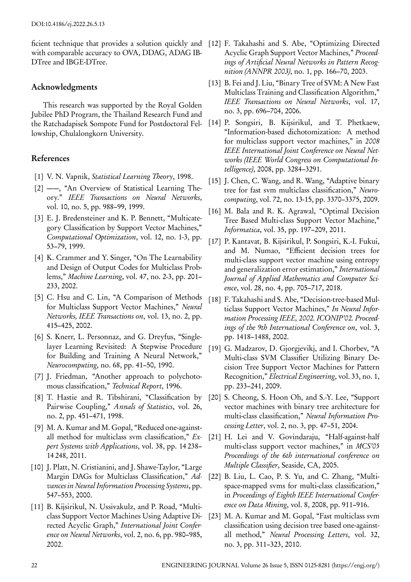ficient technique that provides a solution quickly and [12] F. Takahashi and S. Abe, "Optimizing Directed with comparable accuracy to OVA, DDAG, ADAG IB-DTree and IBGE-DTree.

### **Acknowledgments**

This research was supported by the Royal Golden Jubilee PhD Program, the Thailand Research Fund and the Ratchadapisek Sompote Fund for Postdoctoral Fellowship, Chulalongkorn University.

## **References**

- [1] V. N. Vapnik, *Statistical Learning Theory*, 1998.
- [2] ——, "An Overview of Statistical Learning Theory." *IEEE Transactions on Neural Networks*, vol. 10, no. 5, pp. 988–99, 1999.
- [3] E. J. Bredensteiner and K. P. Bennett, "Multicategory Classification by Support Vector Machines," *Computational Optimization*, vol. 12, no. 1-3, pp. 53–79, 1999.
- [4] K. Crammer and Y. Singer, "On The Learnability and Design of Output Codes for Multiclass Problems," *Machine Learning*, vol. 47, no. 2-3, pp. 201– 233, 2002.
- [5] C. Hsu and C. Lin, "A Comparison of Methods for Multiclass Support Vector Machines," *Neural Networks, IEEE Transactions on*, vol. 13, no. 2, pp. 415–425, 2002.
- [6] S. Knerr, L. Personnaz, and G. Dreyfus, "Singlelayer Learning Revisited: A Stepwise Procedure for Building and Training A Neural Network," *Neurocomputing*, no. 68, pp. 41–50, 1990.
- [7] J. Friedman, "Another approach to polychotomous classification," *Technical Report*, 1996.
- [8] T. Hastie and R. Tibshirani, "Classification by Pairwise Coupling," *Annals of Statistics*, vol. 26, no. 2, pp. 451–471, 1998.
- [9] M. A. Kumar and M. Gopal, "Reduced one-againstall method for multiclass svm classification," *Expert Systems with Applications*, vol. 38, pp. 14 238– 14 248, 2011.
- [10] J. Platt, N. Cristianini, and J. Shawe-Taylor, "Large Margin DAGs for Multiclass Classification," *Advances in Neural Information Processing Systems*, pp. 547–553, 2000.
- [11] B. Kijsirikul, N. Ussivakulz, and P. Road, "Multiclass Support Vector Machines Using Adaptive Directed Acyclic Graph," *International Joint Conference on Neural Networks*, vol. 2, no. 6, pp. 980–985, 2002.
- Acyclic Graph Support Vector Machines," *Proceedings of Artificial Neural Networks in Pattern Recognition (ANNPR 2003)*, no. 1, pp. 166–70, 2003.
- [13] B. Fei and J. Liu, "Binary Tree of SVM: A New Fast Multiclass Training and Classification Algorithm," *IEEE Transactions on Neural Networks*, vol. 17, no. 3, pp. 696–704, 2006.
- [14] P. Songsiri, B. Kijsirikul, and T. Phetkaew, "Information-based dichotomization: A method for multiclass support vector machines," in *2008 IEEE International Joint Conference on Neural Networks (IEEE World Congress on Computational Intelligence)*, 2008, pp. 3284–3291.
- [15] J. Chen, C. Wang, and R. Wang, "Adaptive binary" tree for fast svm multiclass classification," *Neurocomputing*, vol. 72, no. 13-15, pp. 3370–3375, 2009.
- [16] M. Bala and R. K. Agrawal, "Optimal Decision Tree Based Multi-class Support Vector Machine," *Informatica*, vol. 35, pp. 197–209, 2011.
- [17] P. Kantavat, B. Kijsirikul, P. Songsiri, K.-I. Fukui, and M. Numao, "Efficient decision trees for multi-class support vector machine using entropy and generalization error estimation," *International Journal of Applied Mathematics and Computer Science*, vol. 28, no. 4, pp. 705–717, 2018.
- [18] F. Takahashi and S. Abe, "Decision-tree-based Multiclass Support Vector Machines," *In Neural Information Processing IEEE, 2002. ICONIP'02. Proceedings of the 9th International Conference on*, vol. 3, pp. 1418–1488, 2002.
- [19] G. Madzarov, D. Gjorgjevikj, and I. Chorbev, "A Multi-class SVM Classifier Utilizing Binary Decision Tree Support Vector Machines for Pattern Recognition," *Electrical Engineering*, vol. 33, no. 1, pp. 233–241, 2009.
- [20] S. Cheong, S. Hoon Oh, and S.-Y. Lee, "Support" vector machines with binary tree architecture for multi-class classification," *Neural Information Processing Letter*, vol. 2, no. 3, pp. 47–51, 2004.
- [21] H. Lei and V. Govindaraju, "Half-against-half multi-class support vector machines," in *MCS'05 Proceedings of the 6th international conference on Multiple Classifier*, Seaside, CA, 2005.
- [22] B. Liu, L. Cao, P. S. Yu, and C. Zhang, "Multispace-mapped svms for multi-class classification," in *Proceedings of Eighth IEEE International Conference on Data Mining*, vol. 8, 2008, pp. 911–916.
- [23] M. A. Kumar and M. Gopal, "Fast multiclass svm classification using decision tree based one-againstall method," *Neural Processing Letters*, vol. 32, no. 3, pp. 311–323, 2010.